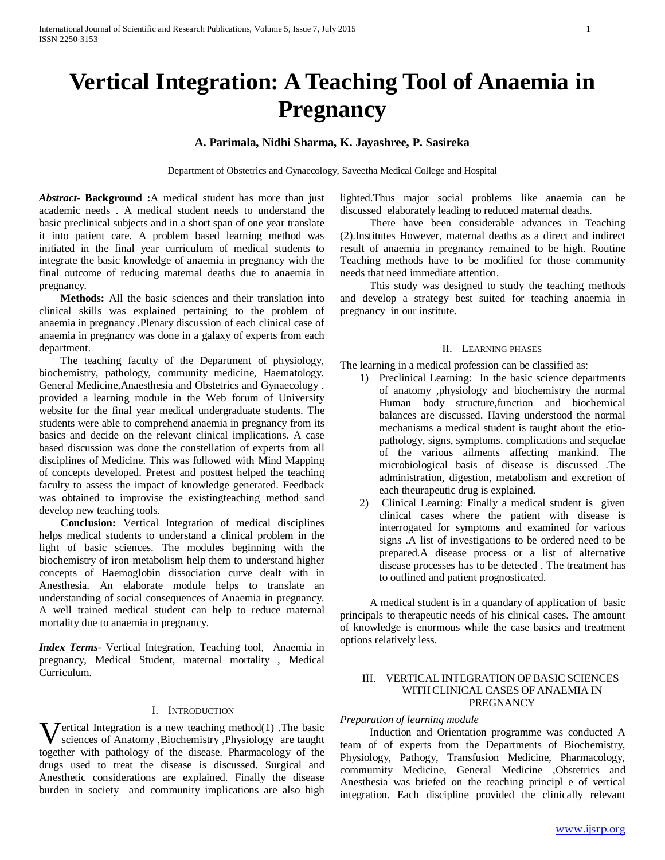# **Vertical Integration: A Teaching Tool of Anaemia in Pregnancy**

## **A. Parimala, Nidhi Sharma, K. Jayashree, P. Sasireka**

Department of Obstetrics and Gynaecology, Saveetha Medical College and Hospital

*Abstract***- Background :**A medical student has more than just academic needs . A medical student needs to understand the basic preclinical subjects and in a short span of one year translate it into patient care. A problem based learning method was initiated in the final year curriculum of medical students to integrate the basic knowledge of anaemia in pregnancy with the final outcome of reducing maternal deaths due to anaemia in pregnancy.

 **Methods:** All the basic sciences and their translation into clinical skills was explained pertaining to the problem of anaemia in pregnancy .Plenary discussion of each clinical case of anaemia in pregnancy was done in a galaxy of experts from each department.

The teaching faculty of the Department of physiology, biochemistry, pathology, community medicine, Haematology. General Medicine,Anaesthesia and Obstetrics and Gynaecology . provided a learning module in the Web forum of University website for the final year medical undergraduate students. The students were able to comprehend anaemia in pregnancy from its basics and decide on the relevant clinical implications. A case based discussion was done the constellation of experts from all disciplines of Medicine. This was followed with Mind Mapping of concepts developed. Pretest and posttest helped the teaching faculty to assess the impact of knowledge generated. Feedback was obtained to improvise the existingteaching method sand develop new teaching tools.

 **Conclusion:** Vertical Integration of medical disciplines helps medical students to understand a clinical problem in the light of basic sciences. The modules beginning with the biochemistry of iron metabolism help them to understand higher concepts of Haemoglobin dissociation curve dealt with in Anesthesia. An elaborate module helps to translate an understanding of social consequences of Anaemia in pregnancy. A well trained medical student can help to reduce maternal mortality due to anaemia in pregnancy.

*Index Terms*- Vertical Integration, Teaching tool, Anaemia in pregnancy, Medical Student, maternal mortality , Medical Curriculum.

## I. INTRODUCTION

**V**ertical Integration is a new teaching method(1) .The basic sciences of Anatomy ,Biochemistry ,Physiology are taught sciences of Anatomy ,Biochemistry ,Physiology are taught together with pathology of the disease. Pharmacology of the drugs used to treat the disease is discussed. Surgical and Anesthetic considerations are explained. Finally the disease burden in society and community implications are also high

lighted.Thus major social problems like anaemia can be discussed elaborately leading to reduced maternal deaths.

 There have been considerable advances in Teaching (2).Institutes However, maternal deaths as a direct and indirect result of anaemia in pregnancy remained to be high. Routine Teaching methods have to be modified for those community needs that need immediate attention.

 This study was designed to study the teaching methods and develop a strategy best suited for teaching anaemia in pregnancy in our institute.

## II. LEARNING PHASES

The learning in a medical profession can be classified as:

- 1) Preclinical Learning: In the basic science departments of anatomy ,physiology and biochemistry the normal Human body structure,function and biochemical balances are discussed. Having understood the normal mechanisms a medical student is taught about the etiopathology, signs, symptoms. complications and sequelae of the various ailments affecting mankind. The microbiological basis of disease is discussed .The administration, digestion, metabolism and excretion of each theurapeutic drug is explained.
- 2) Clinical Learning: Finally a medical student is given clinical cases where the patient with disease is interrogated for symptoms and examined for various signs .A list of investigations to be ordered need to be prepared.A disease process or a list of alternative disease processes has to be detected . The treatment has to outlined and patient prognosticated.

 A medical student is in a quandary of application of basic principals to therapeutic needs of his clinical cases. The amount of knowledge is enormous while the case basics and treatment options relatively less.

## III. VERTICAL INTEGRATION OF BASIC SCIENCES WITH CLINICAL CASES OF ANAEMIA IN **PREGNANCY**

## *Preparation of learning module*

 Induction and Orientation programme was conducted A team of of experts from the Departments of Biochemistry, Physiology, Pathogy, Transfusion Medicine, Pharmacology, commumity Medicine, General Medicine ,Obstetrics and Anesthesia was briefed on the teaching principl e of vertical integration. Each discipline provided the clinically relevant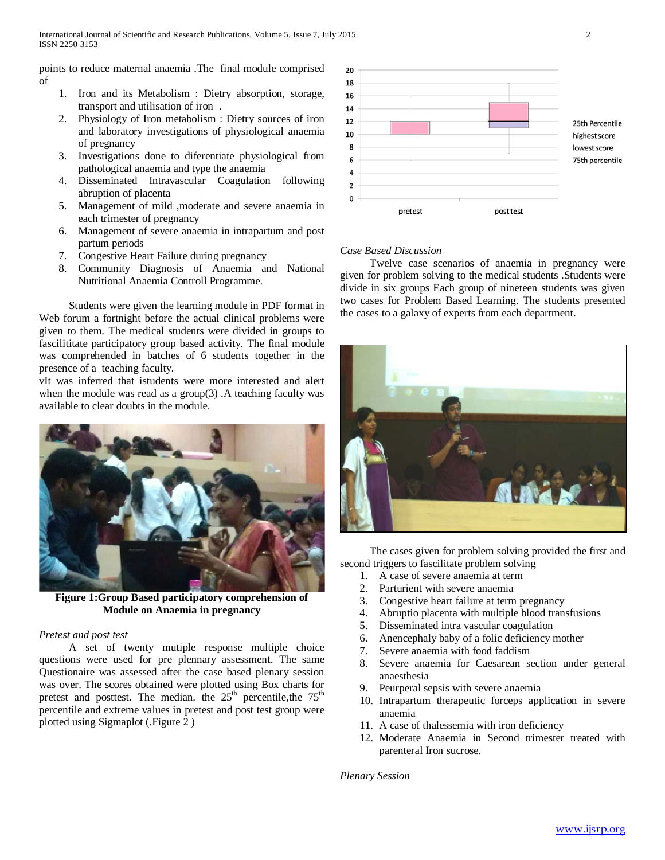points to reduce maternal anaemia .The final module comprised of

- 1. Iron and its Metabolism : Dietry absorption, storage, transport and utilisation of iron .
- 2. Physiology of Iron metabolism : Dietry sources of iron and laboratory investigations of physiological anaemia of pregnancy
- 3. Investigations done to diferentiate physiological from pathological anaemia and type the anaemia
- 4. Disseminated Intravascular Coagulation following abruption of placenta
- 5. Management of mild ,moderate and severe anaemia in each trimester of pregnancy
- 6. Management of severe anaemia in intrapartum and post partum periods
- 7. Congestive Heart Failure during pregnancy
- 8. Community Diagnosis of Anaemia and National Nutritional Anaemia Controll Programme.

 Students were given the learning module in PDF format in Web forum a fortnight before the actual clinical problems were given to them. The medical students were divided in groups to fascilititate participatory group based activity. The final module was comprehended in batches of 6 students together in the presence of a teaching faculty.

vIt was inferred that istudents were more interested and alert when the module was read as a group(3). A teaching faculty was available to clear doubts in the module.



**Figure 1:Group Based participatory comprehension of Module on Anaemia in pregnancy**

#### *Pretest and post test*

 A set of twenty mutiple response multiple choice questions were used for pre plennary assessment. The same Questionaire was assessed after the case based plenary session was over. The scores obtained were plotted using Box charts for pretest and posttest. The median. the  $25<sup>th</sup>$  percentile, the  $75<sup>th</sup>$ percentile and extreme values in pretest and post test group were plotted using Sigmaplot (.Figure 2 )



## *Case Based Discussion*

 Twelve case scenarios of anaemia in pregnancy were given for problem solving to the medical students .Students were divide in six groups Each group of nineteen students was given two cases for Problem Based Learning. The students presented the cases to a galaxy of experts from each department.



 The cases given for problem solving provided the first and second triggers to fascilitate problem solving

- 1. A case of severe anaemia at term
- 2. Parturient with severe anaemia
- 3. Congestive heart failure at term pregnancy
- 4. Abruptio placenta with multiple blood transfusions
- 5. Disseminated intra vascular coagulation
- 6. Anencephaly baby of a folic deficiency mother
- 7. Severe anaemia with food faddism
- 8. Severe anaemia for Caesarean section under general anaesthesia
- 9. Peurperal sepsis with severe anaemia
- 10. Intrapartum therapeutic forceps application in severe anaemia
- 11. A case of thalessemia with iron deficiency
- 12. Moderate Anaemia in Second trimester treated with parenteral Iron sucrose.

*Plenary Session*